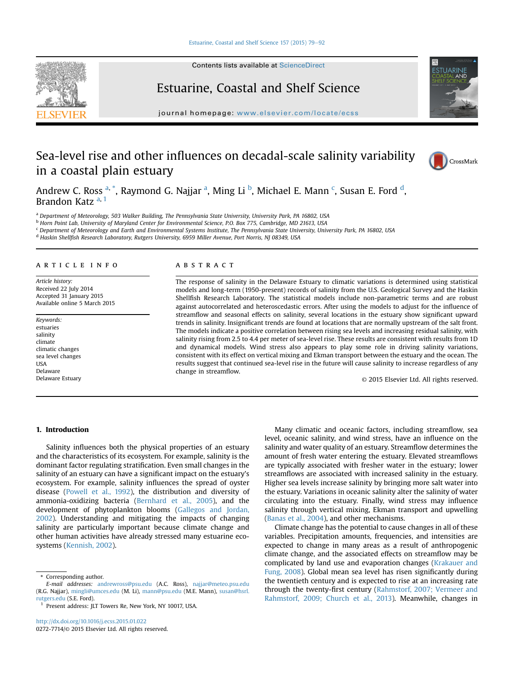#### [Estuarine, Coastal and Shelf Science 157 \(2015\) 79](http://dx.doi.org/10.1016/j.ecss.2015.01.022)-[92](http://dx.doi.org/10.1016/j.ecss.2015.01.022)



## Estuarine, Coastal and Shelf Science

journal homepage: [www.elsevier.com/locate/ecss](http://www.elsevier.com/locate/ecss)

# Sea-level rise and other influences on decadal-scale salinity variability in a coastal plain estuary



Andrew C. Ross <sup>a, \*</sup>, Raymond G. Najjar <sup>a</sup>, Ming Li <sup>b</sup>, Michael E. Mann <sup>c</sup>, Susan E. Ford <sup>d</sup>, Brandon Katz  $a, 1$ 

<sup>a</sup> Department of Meteorology, 503 Walker Building, The Pennsylvania State University, University Park, PA 16802, USA

<sup>b</sup> Horn Point Lab, University of Maryland Center for Environmental Science, P.O. Box 775, Cambridge, MD 21613, USA

<sup>c</sup> Department of Meteorology and Earth and Environmental Systems Institute, The Pennsylvania State University, University Park, PA 16802, USA

<sup>d</sup> Haskin Shellfish Research Laboratory, Rutgers University, 6959 Miller Avenue, Port Norris, NJ 08349, USA

## article info

Article history: Received 22 July 2014 Accepted 31 January 2015 Available online 5 March 2015

Keywords: estuaries salinity climate climatic changes sea level changes **IISA** Delaware Delaware Estuary

#### **ABSTRACT**

The response of salinity in the Delaware Estuary to climatic variations is determined using statistical models and long-term (1950-present) records of salinity from the U.S. Geological Survey and the Haskin Shellfish Research Laboratory. The statistical models include non-parametric terms and are robust against autocorrelated and heteroscedastic errors. After using the models to adjust for the influence of streamflow and seasonal effects on salinity, several locations in the estuary show significant upward trends in salinity. Insignificant trends are found at locations that are normally upstream of the salt front. The models indicate a positive correlation between rising sea levels and increasing residual salinity, with salinity rising from 2.5 to 4.4 per meter of sea-level rise. These results are consistent with results from 1D and dynamical models. Wind stress also appears to play some role in driving salinity variations, consistent with its effect on vertical mixing and Ekman transport between the estuary and the ocean. The results suggest that continued sea-level rise in the future will cause salinity to increase regardless of any change in streamflow.

© 2015 Elsevier Ltd. All rights reserved.

### 1. Introduction

Salinity influences both the physical properties of an estuary and the characteristics of its ecosystem. For example, salinity is the dominant factor regulating stratification. Even small changes in the salinity of an estuary can have a significant impact on the estuary's ecosystem. For example, salinity influences the spread of oyster disease ([Powell et al., 1992](#page--1-0)), the distribution and diversity of ammonia-oxidizing bacteria [\(Bernhard et al., 2005\)](#page--1-0), and the development of phytoplankton blooms [\(Gallegos and Jordan,](#page--1-0) [2002\)](#page--1-0). Understanding and mitigating the impacts of changing salinity are particularly important because climate change and other human activities have already stressed many estuarine ecosystems [\(Kennish, 2002](#page--1-0)).

Present address: JLT Towers Re, New York, NY 10017, USA.

Many climatic and oceanic factors, including streamflow, sea level, oceanic salinity, and wind stress, have an influence on the salinity and water quality of an estuary. Streamflow determines the amount of fresh water entering the estuary. Elevated streamflows are typically associated with fresher water in the estuary; lower streamflows are associated with increased salinity in the estuary. Higher sea levels increase salinity by bringing more salt water into the estuary. Variations in oceanic salinity alter the salinity of water circulating into the estuary. Finally, wind stress may influence salinity through vertical mixing, Ekman transport and upwelling ([Banas et al., 2004](#page--1-0)), and other mechanisms.

Climate change has the potential to cause changes in all of these variables. Precipitation amounts, frequencies, and intensities are expected to change in many areas as a result of anthropogenic climate change, and the associated effects on streamflow may be complicated by land use and evaporation changes [\(Krakauer and](#page--1-0) [Fung, 2008](#page--1-0)). Global mean sea level has risen significantly during the twentieth century and is expected to rise at an increasing rate through the twenty-first century ([Rahmstorf, 2007; Vermeer and](#page--1-0) [Rahmstorf, 2009; Church et al., 2013](#page--1-0)). Meanwhile, changes in



<sup>\*</sup> Corresponding author.

E-mail addresses: [andrewross@psu.edu](mailto:andrewross@psu.edu) (A.C. Ross), [najjar@meteo.psu.edu](mailto:najjar@meteo.psu.edu) (R.G. Najjar), [mingli@umces.edu](mailto:mingli@umces.edu) (M. Li), [mann@psu.edu](mailto:mann@psu.edu) (M.E. Mann), [susan@hsrl.](mailto:susan@hsrl.rutgers.edu) [rutgers.edu](mailto:susan@hsrl.rutgers.edu) (S.E. Ford).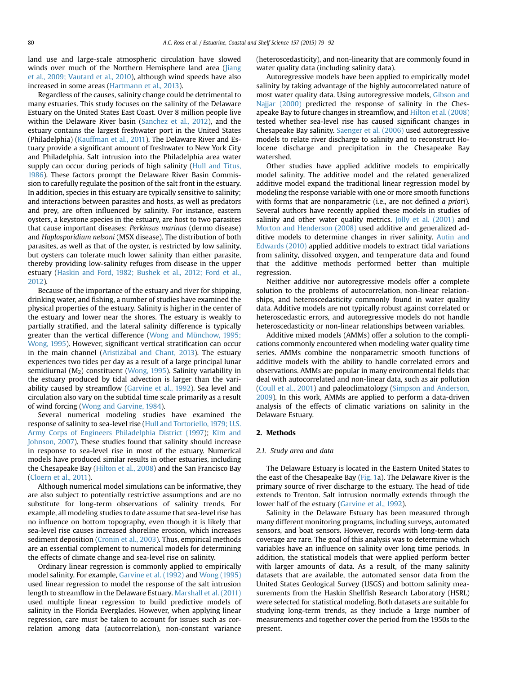land use and large-scale atmospheric circulation have slowed winds over much of the Northern Hemisphere land area [\(Jiang](#page--1-0) [et al., 2009; Vautard et al., 2010](#page--1-0)), although wind speeds have also increased in some areas ([Hartmann et al., 2013\)](#page--1-0).

Regardless of the causes, salinity change could be detrimental to many estuaries. This study focuses on the salinity of the Delaware Estuary on the United States East Coast. Over 8 million people live within the Delaware River basin ([Sanchez et al., 2012\)](#page--1-0), and the estuary contains the largest freshwater port in the United States (Philadelphia) [\(Kauffman et al., 2011](#page--1-0)). The Delaware River and Estuary provide a significant amount of freshwater to New York City and Philadelphia. Salt intrusion into the Philadelphia area water supply can occur during periods of high salinity ([Hull and Titus,](#page--1-0) [1986](#page--1-0)). These factors prompt the Delaware River Basin Commission to carefully regulate the position of the salt front in the estuary. In addition, species in this estuary are typically sensitive to salinity; and interactions between parasites and hosts, as well as predators and prey, are often influenced by salinity. For instance, eastern oysters, a keystone species in the estuary, are host to two parasites that cause important diseases: Perkinsus marinus (dermo disease) and Haplosporidium nelsoni (MSX disease). The distribution of both parasites, as well as that of the oyster, is restricted by low salinity, but oysters can tolerate much lower salinity than either parasite, thereby providing low-salinity refuges from disease in the upper estuary [\(Haskin and Ford, 1982; Bushek et al., 2012; Ford et al.,](#page--1-0) [2012](#page--1-0)).

Because of the importance of the estuary and river for shipping, drinking water, and fishing, a number of studies have examined the physical properties of the estuary. Salinity is higher in the center of the estuary and lower near the shores. The estuary is weakly to partially stratified, and the lateral salinity difference is typically greater than the vertical difference [\(Wong and Münchow, 1995;](#page--1-0) [Wong, 1995\)](#page--1-0). However, significant vertical stratification can occur in the main channel (Aristizábal and Chant, 2013). The estuary experiences two tides per day as a result of a large principal lunar semidiurnal  $(M_2)$  constituent ([Wong, 1995\)](#page--1-0). Salinity variability in the estuary produced by tidal advection is larger than the variability caused by streamflow ([Garvine et al., 1992\)](#page--1-0). Sea level and circulation also vary on the subtidal time scale primarily as a result of wind forcing [\(Wong and Garvine, 1984\)](#page--1-0).

Several numerical modeling studies have examined the response of salinity to sea-level rise ([Hull and Tortoriello, 1979; U.S.](#page--1-0) [Army Corps of Engineers Philadelphia District \(1997](#page--1-0)); [Kim and](#page--1-0) [Johnson, 2007](#page--1-0)). These studies found that salinity should increase in response to sea-level rise in most of the estuary. Numerical models have produced similar results in other estuaries, including the Chesapeake Bay [\(Hilton et al., 2008\)](#page--1-0) and the San Francisco Bay ([Cloern et al., 2011\)](#page--1-0).

Although numerical model simulations can be informative, they are also subject to potentially restrictive assumptions and are no substitute for long-term observations of salinity trends. For example, all modeling studies to date assume that sea-level rise has no influence on bottom topography, even though it is likely that sea-level rise causes increased shoreline erosion, which increases sediment deposition [\(Cronin et al., 2003\)](#page--1-0). Thus, empirical methods are an essential complement to numerical models for determining the effects of climate change and sea-level rise on salinity.

Ordinary linear regression is commonly applied to empirically model salinity. For example, [Garvine et al. \(1992\)](#page--1-0) and [Wong \(1995\)](#page--1-0) used linear regression to model the response of the salt intrusion length to streamflow in the Delaware Estuary. [Marshall et al. \(2011\)](#page--1-0) used multiple linear regression to build predictive models of salinity in the Florida Everglades. However, when applying linear regression, care must be taken to account for issues such as correlation among data (autocorrelation), non-constant variance

(heteroscedasticity), and non-linearity that are commonly found in water quality data (including salinity data).

Autoregressive models have been applied to empirically model salinity by taking advantage of the highly autocorrelated nature of most water quality data. Using autoregressive models, [Gibson and](#page--1-0) [Najjar \(2000\)](#page--1-0) predicted the response of salinity in the Chesapeake Bay to future changes in streamflow, and [Hilton et al. \(2008\)](#page--1-0) tested whether sea-level rise has caused significant changes in Chesapeake Bay salinity. [Saenger et al. \(2006\)](#page--1-0) used autoregressive models to relate river discharge to salinity and to reconstruct Holocene discharge and precipitation in the Chesapeake Bay watershed.

Other studies have applied additive models to empirically model salinity. The additive model and the related generalized additive model expand the traditional linear regression model by modeling the response variable with one or more smooth functions with forms that are nonparametric (i.e., are not defined *a priori*). Several authors have recently applied these models in studies of salinity and other water quality metrics. [Jolly et al. \(2001\)](#page--1-0) and [Morton and Henderson \(2008\)](#page--1-0) used additive and generalized additive models to determine changes in river salinity. [Autin and](#page--1-0) [Edwards \(2010\)](#page--1-0) applied additive models to extract tidal variations from salinity, dissolved oxygen, and temperature data and found that the additive methods performed better than multiple regression.

Neither additive nor autoregressive models offer a complete solution to the problems of autocorrelation, non-linear relationships, and heteroscedasticity commonly found in water quality data. Additive models are not typically robust against correlated or heteroscedastic errors, and autoregressive models do not handle heteroscedasticity or non-linear relationships between variables.

Additive mixed models (AMMs) offer a solution to the complications commonly encountered when modeling water quality time series. AMMs combine the nonparametric smooth functions of additive models with the ability to handle correlated errors and observations. AMMs are popular in many environmental fields that deal with autocorrelated and non-linear data, such as air pollution ([Coull et al., 2001](#page--1-0)) and paleoclimatology [\(Simpson and Anderson,](#page--1-0) [2009](#page--1-0)). In this work, AMMs are applied to perform a data-driven analysis of the effects of climatic variations on salinity in the Delaware Estuary.

#### 2. Methods

#### 2.1. Study area and data

The Delaware Estuary is located in the Eastern United States to the east of the Chesapeake Bay ([Fig. 1](#page--1-0)a). The Delaware River is the primary source of river discharge to the estuary. The head of tide extends to Trenton. Salt intrusion normally extends through the lower half of the estuary ([Garvine et al., 1992](#page--1-0)).

Salinity in the Delaware Estuary has been measured through many different monitoring programs, including surveys, automated sensors, and boat sensors. However, records with long-term data coverage are rare. The goal of this analysis was to determine which variables have an influence on salinity over long time periods. In addition, the statistical models that were applied perform better with larger amounts of data. As a result, of the many salinity datasets that are available, the automated sensor data from the United States Geological Survey (USGS) and bottom salinity measurements from the Haskin Shellfish Research Laboratory (HSRL) were selected for statistical modeling. Both datasets are suitable for studying long-term trends, as they include a large number of measurements and together cover the period from the 1950s to the present.